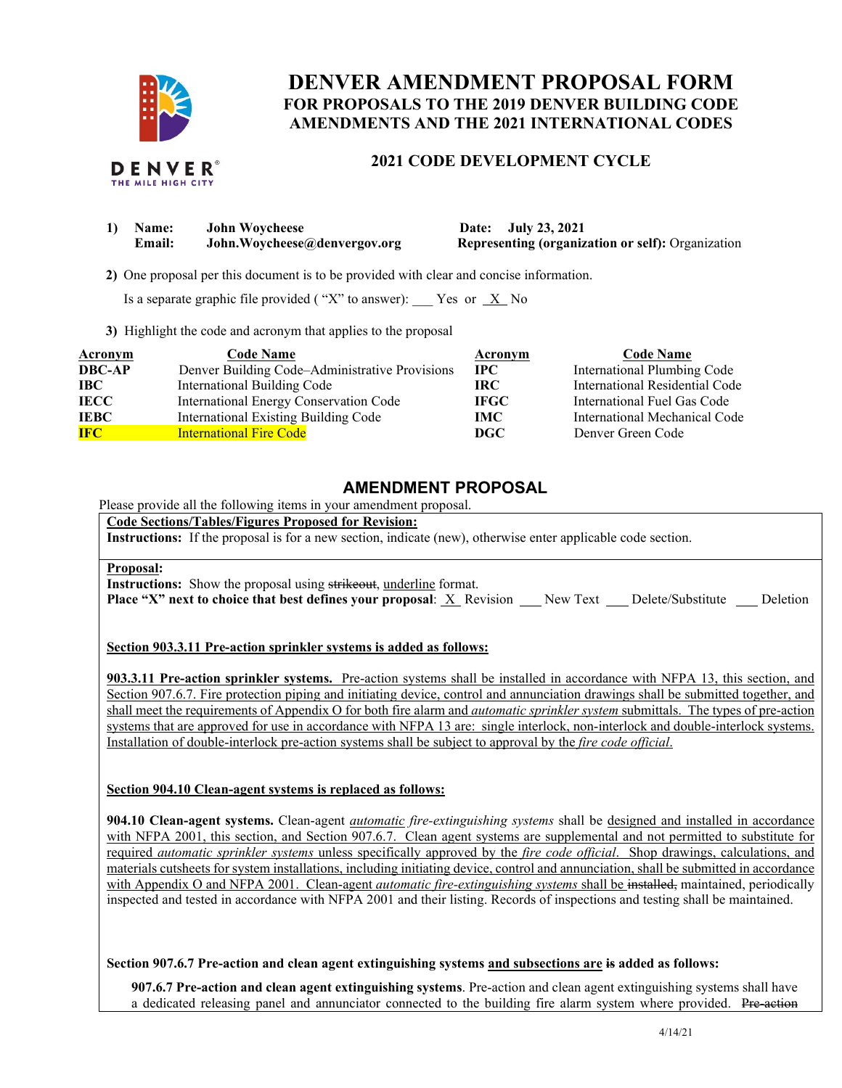

# **DENVER AMENDMENT PROPOSAL FORM FOR PROPOSALS TO THE 2019 DENVER BUILDING CODE AMENDMENTS AND THE 2021 INTERNATIONAL CODES**

# **2021 CODE DEVELOPMENT CYCLE**

| <b>Name:</b>  | <b>John Woycheese</b>        |
|---------------|------------------------------|
| <b>Email:</b> | John.Woycheese@denvergov.org |

**1) Date: July 23, 2021 Representing (organization or self):** Organization

 **2)** One proposal per this document is to be provided with clear and concise information.

Is a separate graphic file provided ("X" to answer):  $\frac{X}{X}$  No

**3)** Highlight the code and acronym that applies to the proposal

| <b>Acronym</b> | <b>Code Name</b>                               | Acronym     | <b>Code Name</b>               |
|----------------|------------------------------------------------|-------------|--------------------------------|
| <b>DBC-AP</b>  | Denver Building Code-Administrative Provisions | <b>IPC</b>  | International Plumbing Code    |
| <b>IBC</b>     | International Building Code                    | IRC.        | International Residential Code |
| <b>IECC</b>    | International Energy Conservation Code         | <b>IFGC</b> | International Fuel Gas Code    |
| <b>IEBC</b>    | International Existing Building Code           | IMC         | International Mechanical Code  |
| <b>IFC</b>     | <b>International Fire Code</b>                 | DGC.        | Denver Green Code              |

# **AMENDMENT PROPOSAL**

Please provide all the following items in your amendment proposal.

**Code Sections/Tables/Figures Proposed for Revision:**

**Instructions:** If the proposal is for a new section, indicate (new), otherwise enter applicable code section.

#### **Proposal:**

**Instructions:** Show the proposal using strikeout, underline format.

**Place "X" next to choice that best defines your proposal:** X Revision New Text Delete/Substitute Deletion

# **Section 903.3.11 Pre-action sprinkler systems is added as follows:**

**903.3.11 Pre-action sprinkler systems.** Pre-action systems shall be installed in accordance with NFPA 13, this section, and Section 907.6.7. Fire protection piping and initiating device, control and annunciation drawings shall be submitted together, and shall meet the requirements of Appendix O for both fire alarm and *automatic sprinkler system* submittals. The types of pre-action systems that are approved for use in accordance with NFPA 13 are: single interlock, non-interlock and double-interlock systems. Installation of double-interlock pre-action systems shall be subject to approval by the *fire code official*.

# **Section 904.10 Clean-agent systems is replaced as follows:**

**904.10 Clean-agent systems.** Clean-agent *automatic fire-extinguishing systems* shall be designed and installed in accordance with NFPA 2001, this section, and Section 907.6.7. Clean agent systems are supplemental and not permitted to substitute for required *automatic sprinkler systems* unless specifically approved by the *fire code official*. Shop drawings, calculations, and materials cutsheets for system installations, including initiating device, control and annunciation, shall be submitted in accordance with Appendix O and NFPA 2001. Clean-agent *automatic fire-extinguishing systems* shall be installed, maintained, periodically inspected and tested in accordance with NFPA 2001 and their listing. Records of inspections and testing shall be maintained.

# **Section 907.6.7 Pre-action and clean agent extinguishing systems and subsections are is added as follows:**

**907.6.7 Pre-action and clean agent extinguishing systems**. Pre-action and clean agent extinguishing systems shall have a dedicated releasing panel and annunciator connected to the building fire alarm system where provided. Pre-action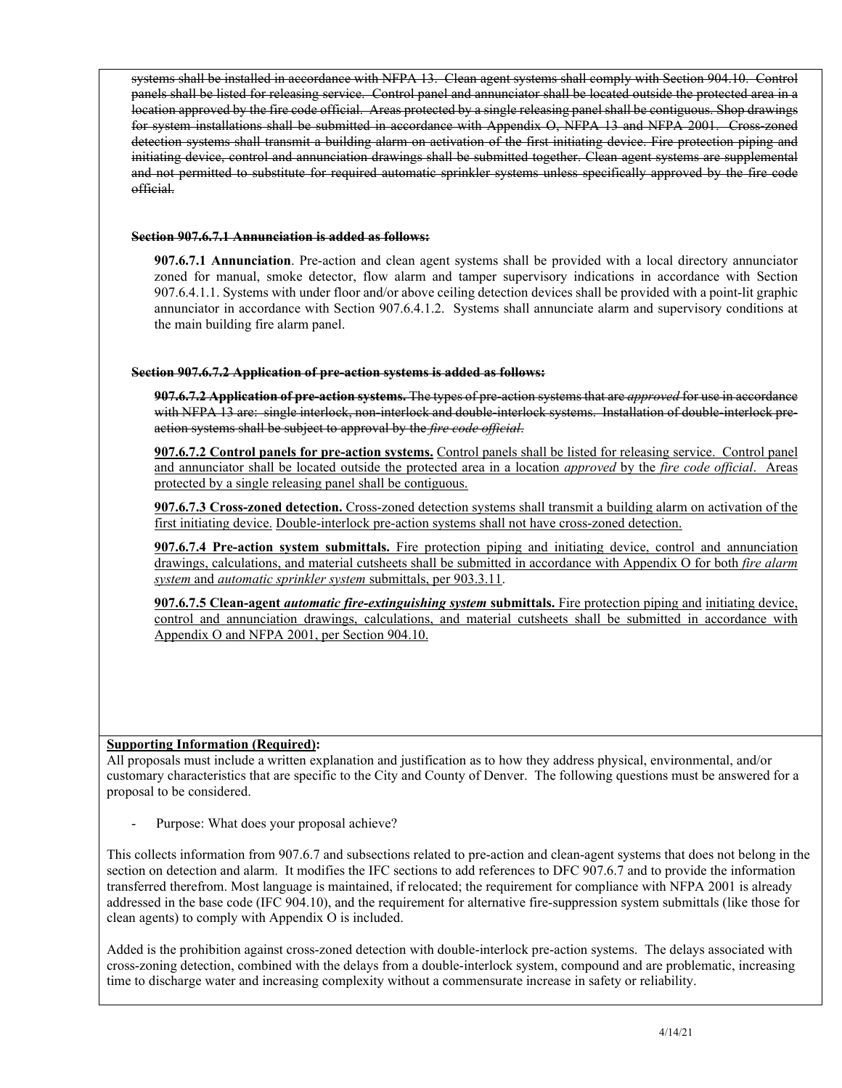systems shall be installed in accordance with NFPA 13. Clean agent systems shall comply with Section 904.10. Control panels shall be listed for releasing service. Control panel and annunciator shall be located outside the protected area in a location approved by the fire code official. Areas protected by a single releasing panel shall be contiguous. Shop drawings for system installations shall be submitted in accordance with Appendix O, NFPA 13 and NFPA 2001. Cross-zoned detection systems shall transmit a building alarm on activation of the first initiating device. Fire protection piping and initiating device, control and annunciation drawings shall be submitted together. Clean agent systems are supplemental and not permitted to substitute for required automatic sprinkler systems unless specifically approved by the fire code official.

#### **Section 907.6.7.1 Annunciation is added as follows:**

**907.6.7.1 Annunciation**. Pre-action and clean agent systems shall be provided with a local directory annunciator zoned for manual, smoke detector, flow alarm and tamper supervisory indications in accordance with Section 907.6.4.1.1. Systems with under floor and/or above ceiling detection devices shall be provided with a point-lit graphic annunciator in accordance with Section 907.6.4.1.2. Systems shall annunciate alarm and supervisory conditions at the main building fire alarm panel.

# **Section 907.6.7.2 Application of pre-action systems is added as follows:**

**907.6.7.2 Application of pre-action systems.** The types of pre-action systems that are *approved* for use in accordance with NFPA 13 are: single interlock, non-interlock and double-interlock systems. Installation of double-interlock preaction systems shall be subject to approval by the *fire code official*.

**907.6.7.2 Control panels for pre-action systems.** Control panels shall be listed for releasing service. Control panel and annunciator shall be located outside the protected area in a location *approved* by the *fire code official*. Areas protected by a single releasing panel shall be contiguous.

**907.6.7.3 Cross-zoned detection.** Cross-zoned detection systems shall transmit a building alarm on activation of the first initiating device. Double-interlock pre-action systems shall not have cross-zoned detection.

**907.6.7.4 Pre-action system submittals.** Fire protection piping and initiating device, control and annunciation drawings, calculations, and material cutsheets shall be submitted in accordance with Appendix O for both *fire alarm system* and *automatic sprinkler system* submittals, per 903.3.11.

**907.6.7.5 Clean-agent** *automatic fire-extinguishing system* **submittals.** Fire protection piping and initiating device, control and annunciation drawings, calculations, and material cutsheets shall be submitted in accordance with Appendix O and NFPA 2001, per Section 904.10.

# **Supporting Information (Required):**

All proposals must include a written explanation and justification as to how they address physical, environmental, and/or customary characteristics that are specific to the City and County of Denver. The following questions must be answered for a proposal to be considered.

Purpose: What does your proposal achieve?

This collects information from 907.6.7 and subsections related to pre-action and clean-agent systems that does not belong in the section on detection and alarm. It modifies the IFC sections to add references to DFC 907.6.7 and to provide the information transferred therefrom. Most language is maintained, if relocated; the requirement for compliance with NFPA 2001 is already addressed in the base code (IFC 904.10), and the requirement for alternative fire-suppression system submittals (like those for clean agents) to comply with Appendix O is included.

Added is the prohibition against cross-zoned detection with double-interlock pre-action systems. The delays associated with cross-zoning detection, combined with the delays from a double-interlock system, compound and are problematic, increasing time to discharge water and increasing complexity without a commensurate increase in safety or reliability.